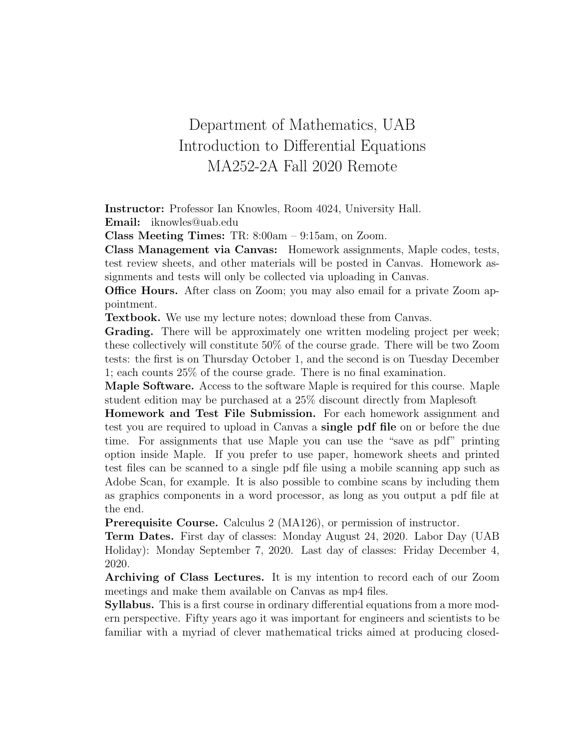## Department of Mathematics, UAB Introduction to Differential Equations MA252-2A Fall 2020 Remote

Instructor: Professor Ian Knowles, Room 4024, University Hall. Email: iknowles@uab.edu

Class Meeting Times: TR: 8:00am – 9:15am, on Zoom.

Class Management via Canvas: Homework assignments, Maple codes, tests, test review sheets, and other materials will be posted in Canvas. Homework assignments and tests will only be collected via uploading in Canvas.

Office Hours. After class on Zoom; you may also email for a private Zoom appointment.

Textbook. We use my lecture notes; download these from Canvas.

Grading. There will be approximately one written modeling project per week; these collectively will constitute 50% of the course grade. There will be two Zoom tests: the first is on Thursday October 1, and the second is on Tuesday December 1; each counts 25% of the course grade. There is no final examination.

Maple Software. Access to the software Maple is required for this course. Maple student edition may be purchased at a 25% discount directly from Maplesoft

Homework and Test File Submission. For each homework assignment and test you are required to upload in Canvas a single pdf file on or before the due time. For assignments that use Maple you can use the "save as pdf" printing option inside Maple. If you prefer to use paper, homework sheets and printed test files can be scanned to a single pdf file using a mobile scanning app such as Adobe Scan, for example. It is also possible to combine scans by including them as graphics components in a word processor, as long as you output a pdf file at the end.

Prerequisite Course. Calculus 2 (MA126), or permission of instructor.

Term Dates. First day of classes: Monday August 24, 2020. Labor Day (UAB Holiday): Monday September 7, 2020. Last day of classes: Friday December 4, 2020.

Archiving of Class Lectures. It is my intention to record each of our Zoom meetings and make them available on Canvas as mp4 files.

Syllabus. This is a first course in ordinary differential equations from a more modern perspective. Fifty years ago it was important for engineers and scientists to be familiar with a myriad of clever mathematical tricks aimed at producing closed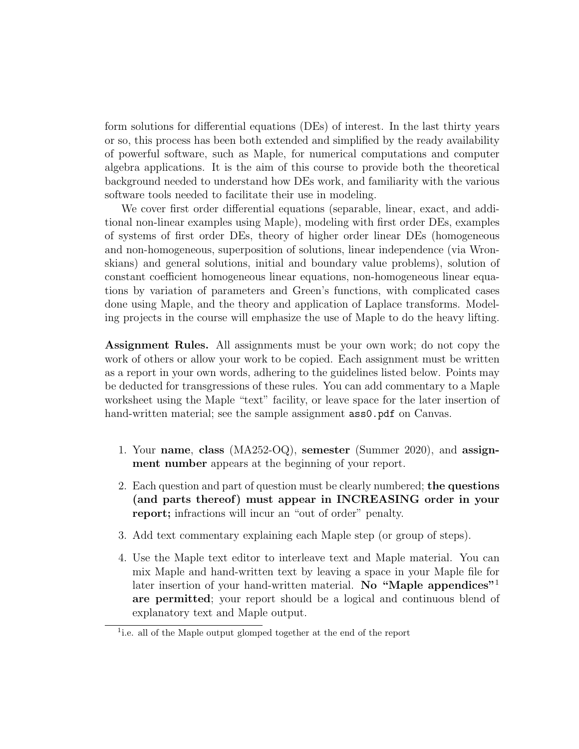form solutions for differential equations (DEs) of interest. In the last thirty years or so, this process has been both extended and simplified by the ready availability of powerful software, such as Maple, for numerical computations and computer algebra applications. It is the aim of this course to provide both the theoretical background needed to understand how DEs work, and familiarity with the various software tools needed to facilitate their use in modeling.

We cover first order differential equations (separable, linear, exact, and additional non-linear examples using Maple), modeling with first order DEs, examples of systems of first order DEs, theory of higher order linear DEs (homogeneous and non-homogeneous, superposition of solutions, linear independence (via Wronskians) and general solutions, initial and boundary value problems), solution of constant coefficient homogeneous linear equations, non-homogeneous linear equations by variation of parameters and Green's functions, with complicated cases done using Maple, and the theory and application of Laplace transforms. Modeling projects in the course will emphasize the use of Maple to do the heavy lifting.

Assignment Rules. All assignments must be your own work; do not copy the work of others or allow your work to be copied. Each assignment must be written as a report in your own words, adhering to the guidelines listed below. Points may be deducted for transgressions of these rules. You can add commentary to a Maple worksheet using the Maple "text" facility, or leave space for the later insertion of hand-written material; see the sample assignment  $ass0.$  pdf on Canvas.

- 1. Your name, class (MA252-OQ), semester (Summer 2020), and assignment number appears at the beginning of your report.
- 2. Each question and part of question must be clearly numbered; the questions (and parts thereof) must appear in INCREASING order in your report; infractions will incur an "out of order" penalty.
- 3. Add text commentary explaining each Maple step (or group of steps).
- 4. Use the Maple text editor to interleave text and Maple material. You can mix Maple and hand-written text by leaving a space in your Maple file for later insertion of your hand-written material. No "Maple appendices"<sup>1</sup> are permitted; your report should be a logical and continuous blend of explanatory text and Maple output.

<sup>&</sup>lt;sup>1</sup>i.e. all of the Maple output glomped together at the end of the report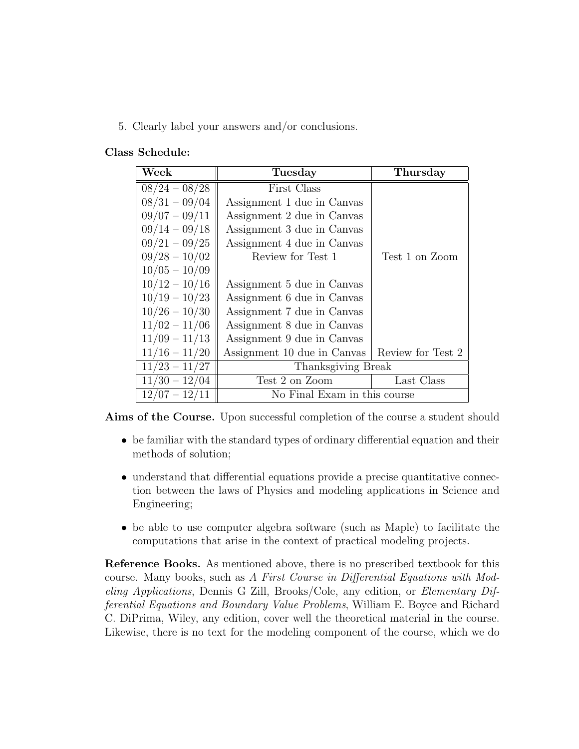5. Clearly label your answers and/or conclusions.

## Class Schedule:

| Week            | Tuesday                      | Thursday          |
|-----------------|------------------------------|-------------------|
| $08/24 - 08/28$ | First Class                  |                   |
| $08/31 - 09/04$ | Assignment 1 due in Canvas   |                   |
| $09/07 - 09/11$ | Assignment 2 due in Canvas   |                   |
| $09/14 - 09/18$ | Assignment 3 due in Canvas   |                   |
| $09/21 - 09/25$ | Assignment 4 due in Canvas   |                   |
| $09/28 - 10/02$ | Review for Test 1            | Test 1 on Zoom    |
| $10/05 - 10/09$ |                              |                   |
| $10/12 - 10/16$ | Assignment 5 due in Canvas   |                   |
| $10/19 - 10/23$ | Assignment 6 due in Canvas   |                   |
| $10/26 - 10/30$ | Assignment 7 due in Canvas   |                   |
| $11/02 - 11/06$ | Assignment 8 due in Canvas   |                   |
| $11/09 - 11/13$ | Assignment 9 due in Canvas   |                   |
| $11/16 - 11/20$ | Assignment 10 due in Canvas  | Review for Test 2 |
| $11/23 - 11/27$ | Thanksgiving Break           |                   |
| $11/30 - 12/04$ | Test 2 on Zoom               | Last Class        |
| $12/07 - 12/11$ | No Final Exam in this course |                   |

Aims of the Course. Upon successful completion of the course a student should

- be familiar with the standard types of ordinary differential equation and their methods of solution;
- understand that differential equations provide a precise quantitative connection between the laws of Physics and modeling applications in Science and Engineering;
- be able to use computer algebra software (such as Maple) to facilitate the computations that arise in the context of practical modeling projects.

Reference Books. As mentioned above, there is no prescribed textbook for this course. Many books, such as A First Course in Differential Equations with Modeling Applications, Dennis G Zill, Brooks/Cole, any edition, or Elementary Differential Equations and Boundary Value Problems, William E. Boyce and Richard C. DiPrima, Wiley, any edition, cover well the theoretical material in the course. Likewise, there is no text for the modeling component of the course, which we do